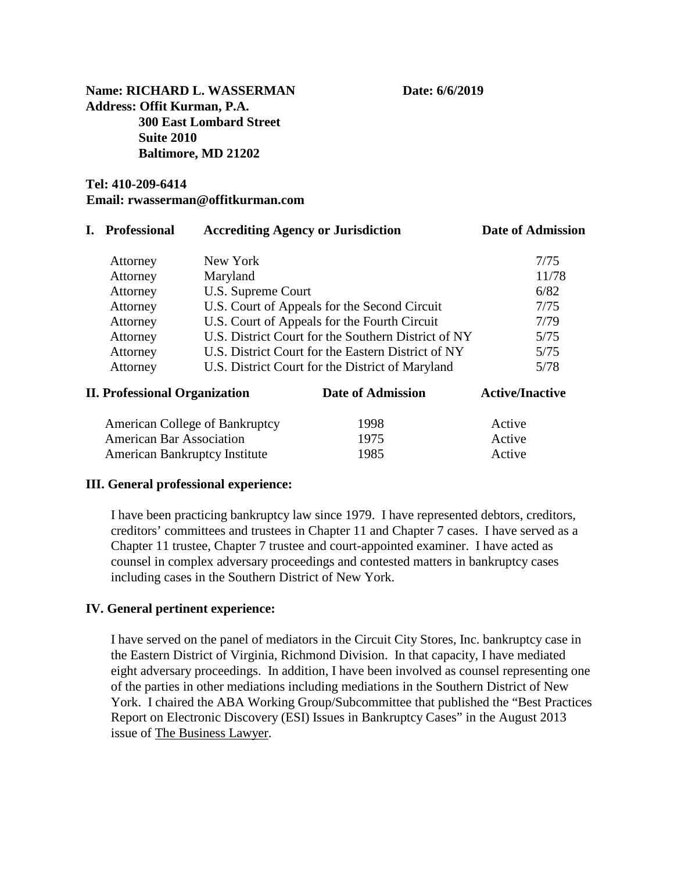**Name: RICHARD L. WASSERMAN Date: 6/6/2019 Address: Offit Kurman, P.A. 300 East Lombard Street Suite 2010 Baltimore, MD 21202**

# **Tel: 410-209-6414 Email: rwasserman@offitkurman.com**

|                                      | <b>Professional</b>                                      | <b>Accrediting Agency or Jurisdiction</b>                                                                 |                   | <b>Date of Admission</b>   |  |
|--------------------------------------|----------------------------------------------------------|-----------------------------------------------------------------------------------------------------------|-------------------|----------------------------|--|
|                                      | New York<br>Attorney                                     |                                                                                                           |                   | 7/75                       |  |
|                                      | Attorney                                                 | Maryland                                                                                                  |                   | 11/78                      |  |
|                                      | Attorney                                                 | U.S. Supreme Court                                                                                        |                   | 6/82                       |  |
|                                      | Attorney                                                 | U.S. Court of Appeals for the Second Circuit                                                              |                   | 7/75                       |  |
|                                      | U.S. Court of Appeals for the Fourth Circuit<br>Attorney |                                                                                                           | 7/79              |                            |  |
|                                      | Attorney                                                 | U.S. District Court for the Southern District of NY<br>U.S. District Court for the Eastern District of NY |                   | 5/75                       |  |
|                                      | Attorney                                                 |                                                                                                           |                   | 5/75                       |  |
|                                      | Attorney                                                 | U.S. District Court for the District of Maryland                                                          |                   | 5/78                       |  |
| <b>II. Professional Organization</b> |                                                          |                                                                                                           | Date of Admission | <b>Active/Inactive</b>     |  |
|                                      | American College of Bankruptcy                           |                                                                                                           | 1998              | Active<br>Active<br>Active |  |
| <b>American Bar Association</b>      |                                                          |                                                                                                           | 1975              |                            |  |
|                                      | <b>American Bankruptcy Institute</b>                     |                                                                                                           | 1985              |                            |  |

#### **III. General professional experience:**

I have been practicing bankruptcy law since 1979. I have represented debtors, creditors, creditors' committees and trustees in Chapter 11 and Chapter 7 cases. I have served as a Chapter 11 trustee, Chapter 7 trustee and court-appointed examiner. I have acted as counsel in complex adversary proceedings and contested matters in bankruptcy cases including cases in the Southern District of New York.

#### **IV. General pertinent experience:**

I have served on the panel of mediators in the Circuit City Stores, Inc. bankruptcy case in the Eastern District of Virginia, Richmond Division. In that capacity, I have mediated eight adversary proceedings. In addition, I have been involved as counsel representing one of the parties in other mediations including mediations in the Southern District of New York. I chaired the ABA Working Group/Subcommittee that published the "Best Practices Report on Electronic Discovery (ESI) Issues in Bankruptcy Cases" in the August 2013 issue of The Business Lawyer.